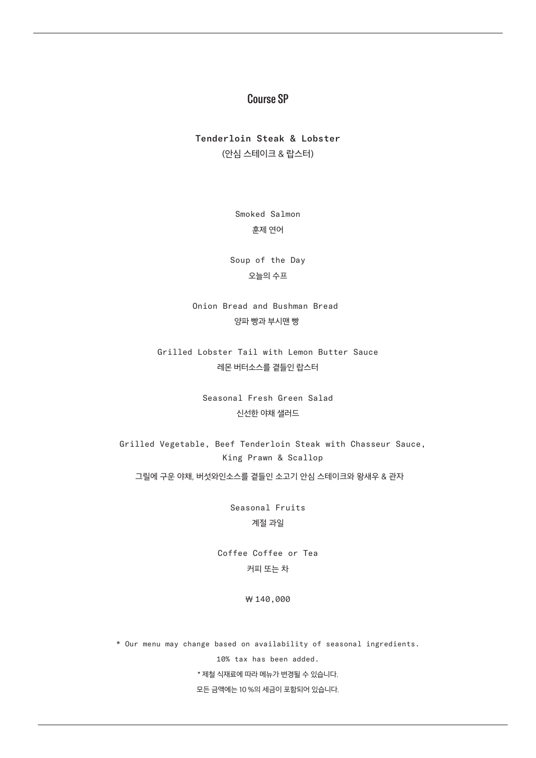# Course SP

### Tenderloin Steak & Lobster (안심 스테이크 & 랍스터)

Smoked Salmon 훈제 연어

Soup of the Day 오늘의 수프

Onion Bread and Bushman Bread 양파 빵과 부시맨 빵

Grilled Lobster Tail with Lemon Butter Sauce 레몬 버터소스를 곁들인 랍스터

> Seasonal Fresh Green Salad 신선한 야채 샐러드

Grilled Vegetable, Beef Tenderloin Steak with Chasseur Sauce, King Prawn & Scallop

그릴에 구운 야채, 버섯와인소스를 곁들인 소고기 안심 스테이크와 왕새우 & 관자

Seasonal Fruits 계절 과일

Coffee Coffee or Tea 커피 또는 차

#### \ 140,000

\* Our menu may change based on availability of seasonal ingredients. 10% tax has been added. \* 제철 식재료에 따라 메뉴가 변경될 수 있습니다. 모든 금액에는 10 %의 세금이 포함되어 있습니다.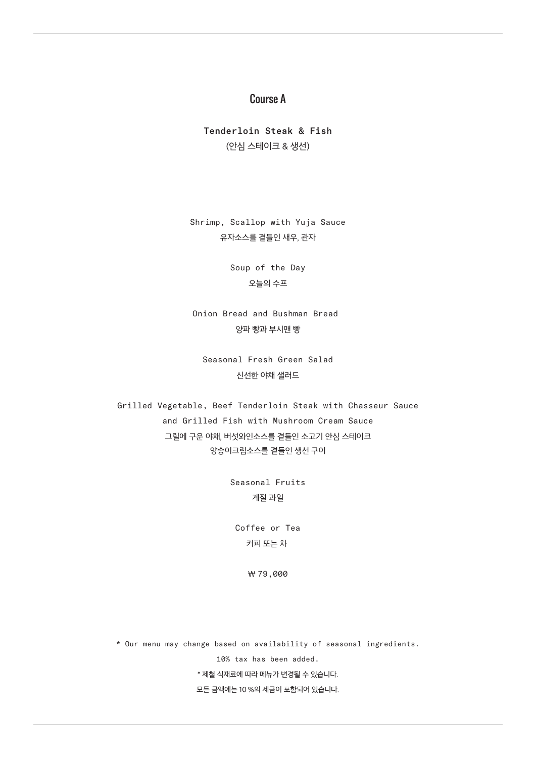## Course A

Tenderloin Steak & Fish (안심 스테이크 & 생선)

Shrimp, Scallop with Yuja Sauce 유자소스를 곁들인 새우, 관자

> Soup of the Day 오늘의 수프

Onion Bread and Bushman Bread 양파 빵과 부시맨 빵

Seasonal Fresh Green Salad 신선한 야채 샐러드

Grilled Vegetable, Beef Tenderloin Steak with Chasseur Sauce and Grilled Fish with Mushroom Cream Sauce 그릴에 구운 야채, 버섯와인소스를 곁들인 소고기 안심 스테이크 양송이크림소스를 곁들인 생선 구이

> Seasonal Fruits 계절 과일

Coffee or Tea 커피 또는 차

\ 79,000

\* Our menu may change based on availability of seasonal ingredients. 10% tax has been added. \* 제철 식재료에 따라 메뉴가 변경될 수 있습니다. 모든 금액에는 10 %의 세금이 포함되어 있습니다.